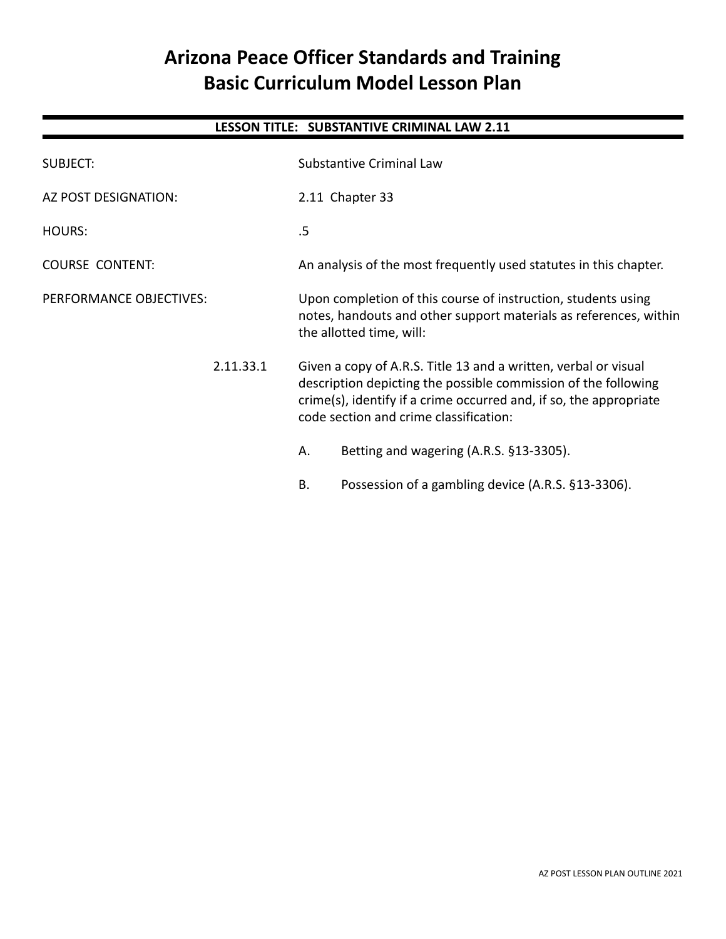# **Arizona Peace Officer Standards and Training Basic Curriculum Model Lesson Plan**

## **LESSON TITLE: SUBSTANTIVE CRIMINAL LAW 2.11**

| SUBJECT:                | <b>Substantive Criminal Law</b>                                                                                                                                                                                                                   |  |
|-------------------------|---------------------------------------------------------------------------------------------------------------------------------------------------------------------------------------------------------------------------------------------------|--|
| AZ POST DESIGNATION:    | 2.11 Chapter 33                                                                                                                                                                                                                                   |  |
| HOURS:                  | .5                                                                                                                                                                                                                                                |  |
| <b>COURSE CONTENT:</b>  | An analysis of the most frequently used statutes in this chapter.                                                                                                                                                                                 |  |
| PERFORMANCE OBJECTIVES: | Upon completion of this course of instruction, students using<br>notes, handouts and other support materials as references, within<br>the allotted time, will:                                                                                    |  |
| 2.11.33.1               | Given a copy of A.R.S. Title 13 and a written, verbal or visual<br>description depicting the possible commission of the following<br>crime(s), identify if a crime occurred and, if so, the appropriate<br>code section and crime classification: |  |
|                         | Betting and wagering (A.R.S. §13-3305).<br>Α.                                                                                                                                                                                                     |  |
|                         | Possession of a gambling device (A.R.S. §13-3306).<br>Β.                                                                                                                                                                                          |  |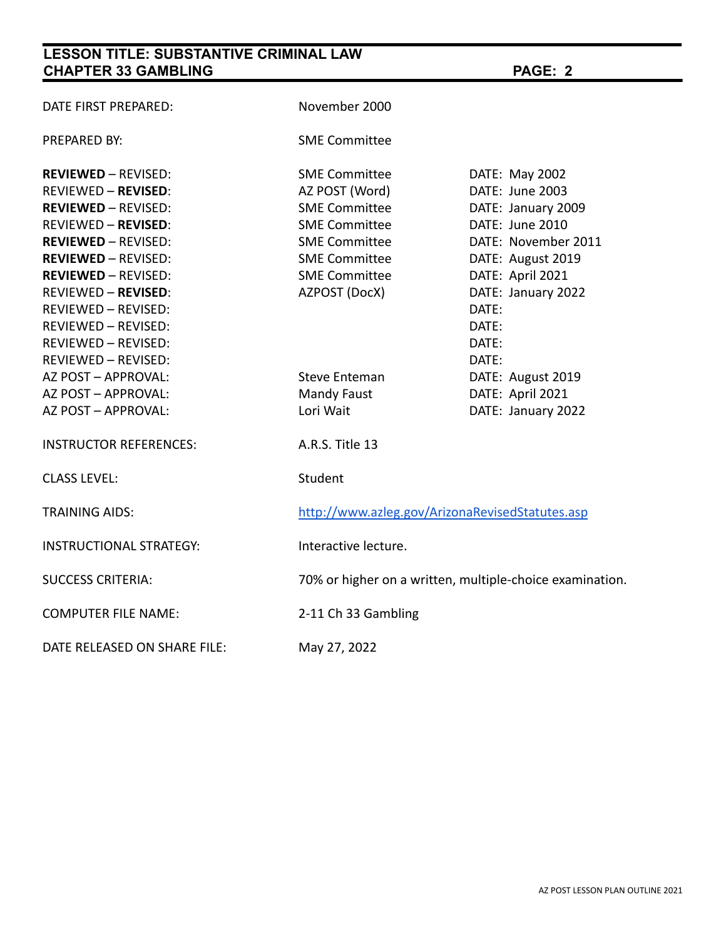# **LESSON TITLE: SUBSTANTIVE CRIMINAL LAW CHAPTER 33 GAMBLING PAGE: 2**

| DATE FIRST PREPARED:           | November 2000                                            |                     |  |
|--------------------------------|----------------------------------------------------------|---------------------|--|
| <b>PREPARED BY:</b>            | <b>SME Committee</b>                                     |                     |  |
| <b>REVIEWED - REVISED:</b>     | <b>SME Committee</b>                                     | DATE: May 2002      |  |
| <b>REVIEWED - REVISED:</b>     | AZ POST (Word)                                           | DATE: June 2003     |  |
| <b>REVIEWED - REVISED:</b>     | <b>SME Committee</b>                                     | DATE: January 2009  |  |
| <b>REVIEWED - REVISED:</b>     | <b>SME Committee</b>                                     | DATE: June 2010     |  |
| <b>REVIEWED - REVISED:</b>     | <b>SME Committee</b>                                     | DATE: November 2011 |  |
| <b>REVIEWED - REVISED:</b>     | <b>SME Committee</b>                                     | DATE: August 2019   |  |
| <b>REVIEWED - REVISED:</b>     | <b>SME Committee</b>                                     | DATE: April 2021    |  |
| <b>REVIEWED - REVISED:</b>     | AZPOST (DocX)                                            | DATE: January 2022  |  |
| REVIEWED - REVISED:            |                                                          | DATE:               |  |
| REVIEWED - REVISED:            |                                                          | DATE:               |  |
| <b>REVIEWED - REVISED:</b>     |                                                          | DATE:               |  |
| <b>REVIEWED - REVISED:</b>     |                                                          | DATE:               |  |
| AZ POST - APPROVAL:            | <b>Steve Enteman</b>                                     | DATE: August 2019   |  |
| AZ POST - APPROVAL:            | <b>Mandy Faust</b>                                       | DATE: April 2021    |  |
| AZ POST - APPROVAL:            | Lori Wait                                                | DATE: January 2022  |  |
| <b>INSTRUCTOR REFERENCES:</b>  | A.R.S. Title 13                                          |                     |  |
| <b>CLASS LEVEL:</b>            | Student                                                  |                     |  |
| <b>TRAINING AIDS:</b>          | http://www.azleg.gov/ArizonaRevisedStatutes.asp          |                     |  |
| <b>INSTRUCTIONAL STRATEGY:</b> | Interactive lecture.                                     |                     |  |
| <b>SUCCESS CRITERIA:</b>       | 70% or higher on a written, multiple-choice examination. |                     |  |
| <b>COMPUTER FILE NAME:</b>     | 2-11 Ch 33 Gambling                                      |                     |  |
| DATE RELEASED ON SHARE FILE:   | May 27, 2022                                             |                     |  |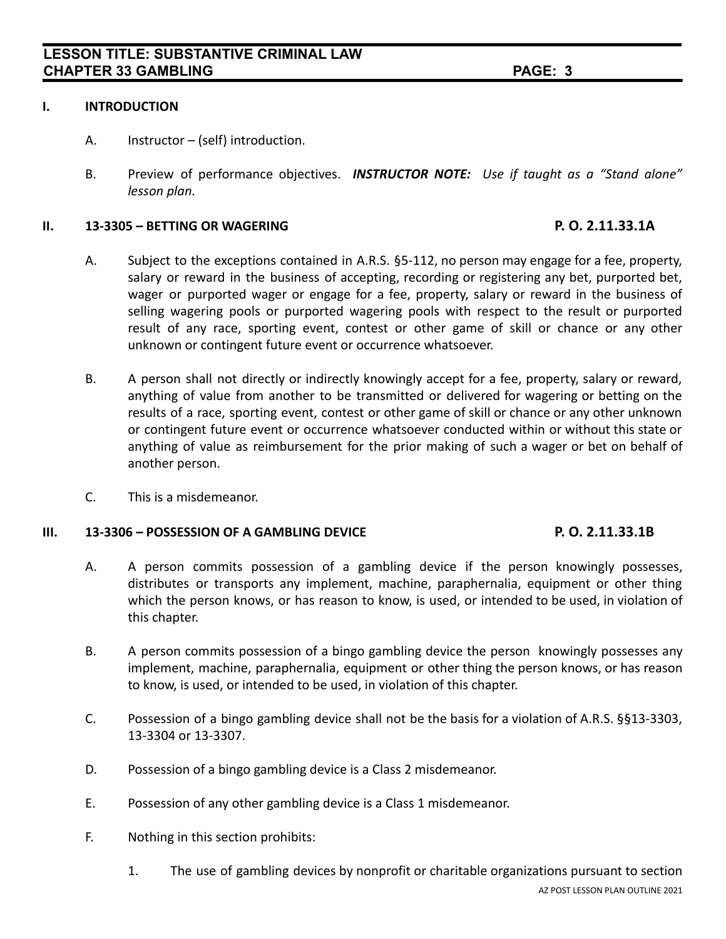#### **I. INTRODUCTION**

- A. Instructor (self) introduction.
- B. Preview of performance objectives. *INSTRUCTOR NOTE: Use if taught as a "Stand alone" lesson plan.*

### **II. 13-3305 – BETTING OR WAGERING P. O. 2.11.33.1A**

- A. Subject to the exceptions contained in A.R.S. §5-112, no person may engage for a fee, property, salary or reward in the business of accepting, recording or registering any bet, purported bet, wager or purported wager or engage for a fee, property, salary or reward in the business of selling wagering pools or purported wagering pools with respect to the result or purported result of any race, sporting event, contest or other game of skill or chance or any other unknown or contingent future event or occurrence whatsoever.
- B. A person shall not directly or indirectly knowingly accept for a fee, property, salary or reward, anything of value from another to be transmitted or delivered for wagering or betting on the results of a race, sporting event, contest or other game of skill or chance or any other unknown or contingent future event or occurrence whatsoever conducted within or without this state or anything of value as reimbursement for the prior making of such a wager or bet on behalf of another person.
- C. This is a misdemeanor.

#### **III. 13-3306 – POSSESSION OF A GAMBLING DEVICE P. O. 2.11.33.1B**

- A. A person commits possession of a gambling device if the person knowingly possesses, distributes or transports any implement, machine, paraphernalia, equipment or other thing which the person knows, or has reason to know, is used, or intended to be used, in violation of this chapter.
- B. A person commits possession of a bingo gambling device the person knowingly possesses any implement, machine, paraphernalia, equipment or other thing the person knows, or has reason to know, is used, or intended to be used, in violation of this chapter.
- C. Possession of a bingo gambling device shall not be the basis for a violation of A.R.S. §§13-3303, 13-3304 or 13-3307.
- D. Possession of a bingo gambling device is a Class 2 misdemeanor.
- E. Possession of any other gambling device is a Class 1 misdemeanor.
- F. Nothing in this section prohibits:
	- 1. The use of gambling devices by nonprofit or charitable organizations pursuant to section